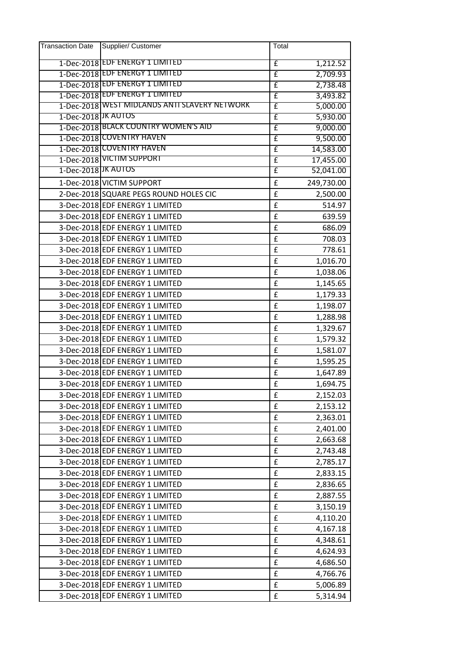| <b>Transaction Date</b> | Supplier/ Customer                            | Total              |            |
|-------------------------|-----------------------------------------------|--------------------|------------|
|                         | 1-Dec-2018 EDF ENERGY 1 LIMITED               | £                  | 1,212.52   |
|                         | 1-Dec-2018 EDF ENERGY 1 LIMITED               | £                  | 2,709.93   |
|                         | 1-Dec-2018 EDF ENERGY 1 LIMITED               | £                  | 2,738.48   |
|                         | 1-Dec-2018 EDF ENERGY 1 LIMITED               | $\overline{f}$     | 3,493.82   |
|                         | 1-Dec-2018 WEST MIDLANDS ANTI SLAVERY NETWORK | £                  | 5,000.00   |
| 1-Dec-2018 JK AUTOS     |                                               | £                  | 5,930.00   |
|                         | 1-Dec-2018 BLACK COUNTRY WOMEN'S AID          | £                  | 9,000.00   |
|                         | 1-Dec-2018 COVENTRY HAVEN                     | $\overline{f}$     | 9,500.00   |
|                         | 1-Dec-2018 COVENTRY HAVEN                     | £                  | 14,583.00  |
|                         | 1-Dec-2018 VICTIM SUPPORT                     | £                  | 17,455.00  |
| 1-Dec-2018 JK AUTOS     |                                               | $\mathbf{f}$       | 52,041.00  |
|                         | 1-Dec-2018 VICTIM SUPPORT                     | £                  | 249,730.00 |
|                         | 2-Dec-2018 SQUARE PEGS ROUND HOLES CIC        | £                  | 2,500.00   |
|                         | 3-Dec-2018 EDF ENERGY 1 LIMITED               | $\pmb{\mathsf{f}}$ | 514.97     |
|                         | 3-Dec-2018 EDF ENERGY 1 LIMITED               | £                  | 639.59     |
|                         | 3-Dec-2018 EDF ENERGY 1 LIMITED               | $\pmb{\mathsf{f}}$ | 686.09     |
|                         | 3-Dec-2018 EDF ENERGY 1 LIMITED               | £                  | 708.03     |
|                         | 3-Dec-2018 EDF ENERGY 1 LIMITED               | £                  | 778.61     |
|                         | 3-Dec-2018 EDF ENERGY 1 LIMITED               | $\mathbf f$        | 1,016.70   |
|                         | 3-Dec-2018 EDF ENERGY 1 LIMITED               | $\pmb{\mathsf{f}}$ | 1,038.06   |
|                         | 3-Dec-2018 EDF ENERGY 1 LIMITED               | £                  | 1,145.65   |
|                         | 3-Dec-2018 EDF ENERGY 1 LIMITED               | £                  | 1,179.33   |
|                         | 3-Dec-2018 EDF ENERGY 1 LIMITED               | £                  | 1,198.07   |
|                         | 3-Dec-2018 EDF ENERGY 1 LIMITED               | £                  | 1,288.98   |
|                         | 3-Dec-2018 EDF ENERGY 1 LIMITED               | £                  | 1,329.67   |
|                         | 3-Dec-2018 EDF ENERGY 1 LIMITED               | £                  | 1,579.32   |
|                         | 3-Dec-2018 EDF ENERGY 1 LIMITED               | £                  | 1,581.07   |
|                         | 3-Dec-2018 EDF ENERGY 1 LIMITED               | $\pmb{\mathsf{f}}$ | 1,595.25   |
|                         | 3-Dec-2018 EDF ENERGY 1 LIMITED               | £                  | 1,647.89   |
|                         | 3-Dec-2018 EDF ENERGY 1 LIMITED               | £                  | 1,694.75   |
|                         | 3-Dec-2018 EDF ENERGY 1 LIMITED               | $\pmb{\mathsf{f}}$ | 2,152.03   |
|                         | 3-Dec-2018 EDF ENERGY 1 LIMITED               | $\pmb{\mathsf{f}}$ | 2,153.12   |
|                         | 3-Dec-2018 EDF ENERGY 1 LIMITED               | $\pmb{\mathsf{f}}$ | 2,363.01   |
|                         | 3-Dec-2018 EDF ENERGY 1 LIMITED               | $\pmb{\mathsf{f}}$ | 2,401.00   |
|                         | 3-Dec-2018 EDF ENERGY 1 LIMITED               | £                  | 2,663.68   |
|                         | 3-Dec-2018 EDF ENERGY 1 LIMITED               | $\pmb{\mathsf{f}}$ | 2,743.48   |
|                         | 3-Dec-2018 EDF ENERGY 1 LIMITED               | $\pmb{\mathsf{f}}$ | 2,785.17   |
|                         | 3-Dec-2018 EDF ENERGY 1 LIMITED               | $\mathbf f$        | 2,833.15   |
|                         | 3-Dec-2018 EDF ENERGY 1 LIMITED               | $\pmb{\mathsf{f}}$ | 2,836.65   |
|                         | 3-Dec-2018 EDF ENERGY 1 LIMITED               | $\pmb{\mathsf{f}}$ | 2,887.55   |
|                         | 3-Dec-2018 EDF ENERGY 1 LIMITED               | $\pmb{\mathsf{f}}$ | 3,150.19   |
|                         | 3-Dec-2018 EDF ENERGY 1 LIMITED               | £                  | 4,110.20   |
|                         | 3-Dec-2018 EDF ENERGY 1 LIMITED               | £                  | 4,167.18   |
|                         | 3-Dec-2018 EDF ENERGY 1 LIMITED               | $\pmb{\mathsf{f}}$ | 4,348.61   |
|                         | 3-Dec-2018 EDF ENERGY 1 LIMITED               | $\pmb{\mathsf{f}}$ | 4,624.93   |
|                         | 3-Dec-2018 EDF ENERGY 1 LIMITED               | £                  | 4,686.50   |
|                         | 3-Dec-2018 EDF ENERGY 1 LIMITED               | $\pmb{\mathsf{f}}$ | 4,766.76   |
|                         | 3-Dec-2018 EDF ENERGY 1 LIMITED               | $\pmb{\mathsf{f}}$ | 5,006.89   |
|                         | 3-Dec-2018 EDF ENERGY 1 LIMITED               | £                  | 5,314.94   |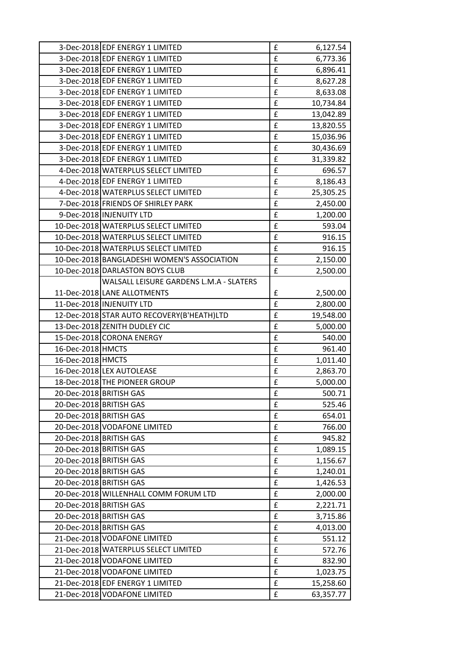|                         | 3-Dec-2018 EDF ENERGY 1 LIMITED             | £                  | 6,127.54  |
|-------------------------|---------------------------------------------|--------------------|-----------|
|                         | 3-Dec-2018 EDF ENERGY 1 LIMITED             | $\mathbf f$        | 6,773.36  |
|                         | 3-Dec-2018 EDF ENERGY 1 LIMITED             | $\pmb{\mathsf{f}}$ | 6,896.41  |
|                         | 3-Dec-2018 EDF ENERGY 1 LIMITED             | $\pmb{\mathsf{f}}$ | 8,627.28  |
|                         | 3-Dec-2018 EDF ENERGY 1 LIMITED             | £                  | 8,633.08  |
|                         | 3-Dec-2018 EDF ENERGY 1 LIMITED             | $\pmb{\mathsf{f}}$ | 10,734.84 |
|                         | 3-Dec-2018 EDF ENERGY 1 LIMITED             | £                  | 13,042.89 |
|                         | 3-Dec-2018 EDF ENERGY 1 LIMITED             | £                  | 13,820.55 |
|                         | 3-Dec-2018 EDF ENERGY 1 LIMITED             | $\mathbf f$        | 15,036.96 |
|                         | 3-Dec-2018 EDF ENERGY 1 LIMITED             | £                  | 30,436.69 |
|                         | 3-Dec-2018 EDF ENERGY 1 LIMITED             | $\mathbf f$        | 31,339.82 |
|                         | 4-Dec-2018 WATERPLUS SELECT LIMITED         | £                  | 696.57    |
|                         | 4-Dec-2018 EDF ENERGY 1 LIMITED             | £                  | 8,186.43  |
|                         | 4-Dec-2018 WATERPLUS SELECT LIMITED         | £                  | 25,305.25 |
|                         | 7-Dec-2018 FRIENDS OF SHIRLEY PARK          | $\pmb{\mathsf{f}}$ | 2,450.00  |
|                         | 9-Dec-2018 INJENUITY LTD                    | $\pmb{\mathsf{f}}$ | 1,200.00  |
|                         | 10-Dec-2018 WATERPLUS SELECT LIMITED        | £                  | 593.04    |
|                         | 10-Dec-2018 WATERPLUS SELECT LIMITED        | £                  | 916.15    |
|                         | 10-Dec-2018 WATERPLUS SELECT LIMITED        | $\pmb{\mathsf{f}}$ | 916.15    |
|                         | 10-Dec-2018 BANGLADESHI WOMEN'S ASSOCIATION | $\pmb{\mathsf{f}}$ | 2,150.00  |
|                         | 10-Dec-2018 DARLASTON BOYS CLUB             | $\mathbf f$        | 2,500.00  |
|                         | WALSALL LEISURE GARDENS L.M.A - SLATERS     |                    |           |
|                         | 11-Dec-2018 LANE ALLOTMENTS                 | £                  | 2,500.00  |
|                         | 11-Dec-2018 INJENUITY LTD                   | £                  | 2,800.00  |
|                         | 12-Dec-2018 STAR AUTO RECOVERY(B'HEATH)LTD  | £                  | 19,548.00 |
|                         | 13-Dec-2018 ZENITH DUDLEY CIC               | £                  | 5,000.00  |
|                         | 15-Dec-2018 CORONA ENERGY                   | $\pmb{\mathsf{f}}$ | 540.00    |
| 16-Dec-2018 HMCTS       |                                             | $\mathbf f$        | 961.40    |
| 16-Dec-2018 HMCTS       |                                             | $\pmb{\mathsf{f}}$ | 1,011.40  |
|                         | 16-Dec-2018 LEX AUTOLEASE                   | $\mathbf f$        | 2,863.70  |
|                         | 18-Dec-2018 THE PIONEER GROUP               | $\pmb{\mathsf{f}}$ | 5,000.00  |
| 20-Dec-2018 BRITISH GAS |                                             | £                  | 500.71    |
|                         | 20-Dec-2018 BRITISH GAS                     | $\mathbf f$        | 525.46    |
|                         | 20-Dec-2018 BRITISH GAS                     | £                  | 654.01    |
|                         | 20-Dec-2018 VODAFONE LIMITED                | $\mathbf f$        | 766.00    |
|                         | 20-Dec-2018 BRITISH GAS                     | $\mathbf f$        | 945.82    |
|                         | 20-Dec-2018 BRITISH GAS                     | £                  | 1,089.15  |
|                         | 20-Dec-2018 BRITISH GAS                     | £                  | 1,156.67  |
|                         | 20-Dec-2018 BRITISH GAS                     | $\pmb{\mathsf{f}}$ | 1,240.01  |
|                         | 20-Dec-2018 BRITISH GAS                     | $\pmb{\mathsf{f}}$ | 1,426.53  |
|                         | 20-Dec-2018 WILLENHALL COMM FORUM LTD       | $\pmb{\mathsf{f}}$ | 2,000.00  |
|                         | 20-Dec-2018 BRITISH GAS                     | $\mathbf f$        | 2,221.71  |
|                         | 20-Dec-2018 BRITISH GAS                     | $\pmb{\mathsf{f}}$ | 3,715.86  |
|                         | 20-Dec-2018 BRITISH GAS                     | £                  | 4,013.00  |
|                         | 21-Dec-2018 VODAFONE LIMITED                | £                  | 551.12    |
|                         | 21-Dec-2018 WATERPLUS SELECT LIMITED        | $\pmb{\mathsf{f}}$ | 572.76    |
|                         | 21-Dec-2018 VODAFONE LIMITED                | $\pmb{\mathsf{f}}$ | 832.90    |
|                         | 21-Dec-2018 VODAFONE LIMITED                | $\pmb{\mathsf{f}}$ | 1,023.75  |
|                         | 21-Dec-2018 EDF ENERGY 1 LIMITED            | £                  | 15,258.60 |
|                         | 21-Dec-2018 VODAFONE LIMITED                | $\mathbf f$        | 63,357.77 |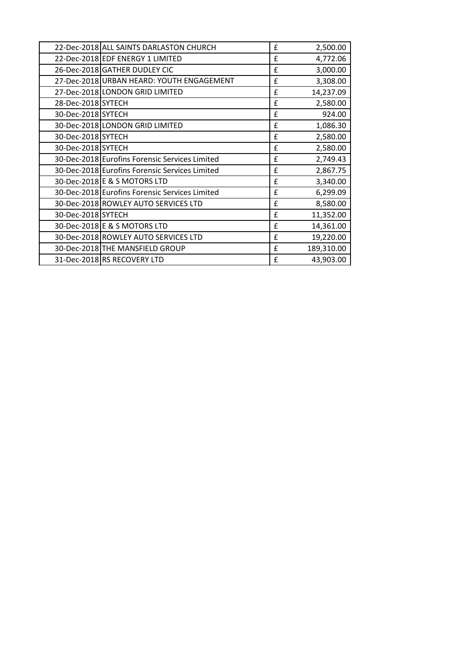|                    | 22-Dec-2018 ALL SAINTS DARLASTON CHURCH        | £            | 2,500.00   |
|--------------------|------------------------------------------------|--------------|------------|
|                    | 22-Dec-2018 EDF ENERGY 1 LIMITED               | £            | 4,772.06   |
|                    | 26-Dec-2018 GATHER DUDLEY CIC                  | £            | 3,000.00   |
|                    | 27-Dec-2018 URBAN HEARD: YOUTH ENGAGEMENT      | £            | 3,308.00   |
|                    | 27-Dec-2018 LONDON GRID LIMITED                | £            | 14,237.09  |
| 28-Dec-2018 SYTECH |                                                | £            | 2,580.00   |
| 30-Dec-2018 SYTECH |                                                | £            | 924.00     |
|                    | 30-Dec-2018 LONDON GRID LIMITED                | $\mathbf{f}$ | 1,086.30   |
| 30-Dec-2018 SYTECH |                                                | £            | 2,580.00   |
| 30-Dec-2018 SYTECH |                                                | £            | 2,580.00   |
|                    | 30-Dec-2018 Eurofins Forensic Services Limited | £            | 2,749.43   |
|                    | 30-Dec-2018 Eurofins Forensic Services Limited | £            | 2,867.75   |
|                    | 30-Dec-2018 E & S MOTORS LTD                   | £            | 3,340.00   |
|                    | 30-Dec-2018 Eurofins Forensic Services Limited | £            | 6,299.09   |
|                    | 30-Dec-2018 ROWLEY AUTO SERVICES LTD           | $\mathbf{f}$ | 8,580.00   |
| 30-Dec-2018 SYTECH |                                                | £            | 11,352.00  |
|                    | 30-Dec-2018 E & S MOTORS LTD                   | £            | 14,361.00  |
|                    | 30-Dec-2018 ROWLEY AUTO SERVICES LTD           | £            | 19,220.00  |
|                    | 30-Dec-2018 THE MANSFIELD GROUP                | $\mathbf{f}$ | 189,310.00 |
|                    | 31-Dec-2018 RS RECOVERY LTD                    | £            | 43,903.00  |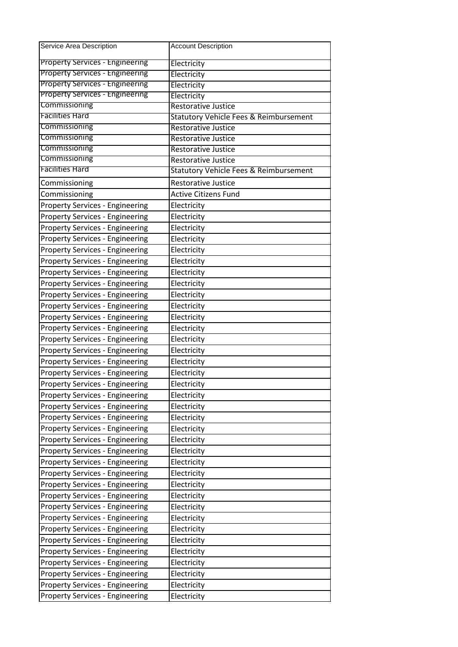| Service Area Description               | <b>Account Description</b>                        |
|----------------------------------------|---------------------------------------------------|
| Property Services - Engineering        | Electricity                                       |
| Property Services - Engineering        | Electricity                                       |
| <b>Property Services - Engineering</b> | Electricity                                       |
| <b>Property Services - Engineering</b> | Electricity                                       |
| Commissioning                          | <b>Restorative Justice</b>                        |
| <b>Facilities Hard</b>                 | <b>Statutory Vehicle Fees &amp; Reimbursement</b> |
| Commissioning                          | <b>Restorative Justice</b>                        |
| Commissioning                          | <b>Restorative Justice</b>                        |
| Commissioning                          | <b>Restorative Justice</b>                        |
| Commissioning                          | <b>Restorative Justice</b>                        |
| <b>Facilities Hard</b>                 | <b>Statutory Vehicle Fees &amp; Reimbursement</b> |
| Commissioning                          | <b>Restorative Justice</b>                        |
| Commissioning                          | <b>Active Citizens Fund</b>                       |
| <b>Property Services - Engineering</b> | Electricity                                       |
| <b>Property Services - Engineering</b> | Electricity                                       |
| <b>Property Services - Engineering</b> | Electricity                                       |
| <b>Property Services - Engineering</b> | Electricity                                       |
| <b>Property Services - Engineering</b> | Electricity                                       |
| <b>Property Services - Engineering</b> | Electricity                                       |
| <b>Property Services - Engineering</b> | Electricity                                       |
| <b>Property Services - Engineering</b> | Electricity                                       |
| <b>Property Services - Engineering</b> | Electricity                                       |
| <b>Property Services - Engineering</b> | Electricity                                       |
| <b>Property Services - Engineering</b> | Electricity                                       |
| <b>Property Services - Engineering</b> | Electricity                                       |
| <b>Property Services - Engineering</b> | Electricity                                       |
| <b>Property Services - Engineering</b> | Electricity                                       |
| <b>Property Services - Engineering</b> | Electricity                                       |
| <b>Property Services - Engineering</b> | Electricity                                       |
| <b>Property Services - Engineering</b> | Electricity                                       |
| <b>Property Services - Engineering</b> | Electricity                                       |
| <b>Property Services - Engineering</b> | Electricity                                       |
| <b>Property Services - Engineering</b> | Electricity                                       |
| <b>Property Services - Engineering</b> | Electricity                                       |
| <b>Property Services - Engineering</b> | Electricity                                       |
| <b>Property Services - Engineering</b> | Electricity                                       |
| <b>Property Services - Engineering</b> | Electricity                                       |
| <b>Property Services - Engineering</b> | Electricity                                       |
| <b>Property Services - Engineering</b> | Electricity                                       |
| <b>Property Services - Engineering</b> | Electricity                                       |
| <b>Property Services - Engineering</b> | Electricity                                       |
| <b>Property Services - Engineering</b> | Electricity                                       |
| <b>Property Services - Engineering</b> | Electricity                                       |
| <b>Property Services - Engineering</b> | Electricity                                       |
| <b>Property Services - Engineering</b> | Electricity                                       |
| <b>Property Services - Engineering</b> | Electricity                                       |
| <b>Property Services - Engineering</b> | Electricity                                       |
| <b>Property Services - Engineering</b> | Electricity                                       |
| <b>Property Services - Engineering</b> | Electricity                                       |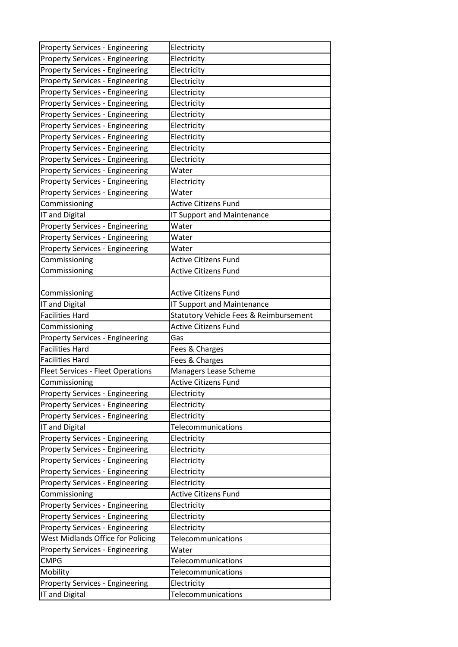| <b>Property Services - Engineering</b>                                           | Electricity                                          |
|----------------------------------------------------------------------------------|------------------------------------------------------|
| <b>Property Services - Engineering</b>                                           | Electricity                                          |
| <b>Property Services - Engineering</b>                                           | Electricity                                          |
| <b>Property Services - Engineering</b>                                           | Electricity                                          |
| <b>Property Services - Engineering</b>                                           | Electricity                                          |
| <b>Property Services - Engineering</b>                                           | Electricity                                          |
| <b>Property Services - Engineering</b>                                           | Electricity                                          |
| <b>Property Services - Engineering</b>                                           | Electricity                                          |
| <b>Property Services - Engineering</b>                                           | Electricity                                          |
| <b>Property Services - Engineering</b>                                           | Electricity                                          |
| <b>Property Services - Engineering</b>                                           | Electricity                                          |
| <b>Property Services - Engineering</b>                                           | Water                                                |
| <b>Property Services - Engineering</b>                                           | Electricity                                          |
| <b>Property Services - Engineering</b>                                           | Water                                                |
| Commissioning                                                                    | <b>Active Citizens Fund</b>                          |
| IT and Digital                                                                   | <b>IT Support and Maintenance</b>                    |
| <b>Property Services - Engineering</b>                                           | Water                                                |
| <b>Property Services - Engineering</b>                                           | Water                                                |
| <b>Property Services - Engineering</b>                                           | Water                                                |
| Commissioning                                                                    | <b>Active Citizens Fund</b>                          |
| Commissioning                                                                    | <b>Active Citizens Fund</b>                          |
|                                                                                  |                                                      |
| Commissioning                                                                    | <b>Active Citizens Fund</b>                          |
| IT and Digital                                                                   | <b>IT Support and Maintenance</b>                    |
| <b>Facilities Hard</b>                                                           | Statutory Vehicle Fees & Reimbursement               |
| Commissioning                                                                    | <b>Active Citizens Fund</b>                          |
| Property Services - Engineering                                                  | Gas                                                  |
| <b>Facilities Hard</b>                                                           | Fees & Charges                                       |
| <b>Facilities Hard</b>                                                           | Fees & Charges                                       |
|                                                                                  |                                                      |
|                                                                                  |                                                      |
| <b>Fleet Services - Fleet Operations</b><br>Commissioning                        | Managers Lease Scheme<br><b>Active Citizens Fund</b> |
| <b>Property Services - Engineering</b>                                           | Electricity                                          |
| <b>Property Services - Engineering</b>                                           |                                                      |
|                                                                                  | Electricity<br>Electricity                           |
| <b>Property Services - Engineering</b><br>IT and Digital                         | Telecommunications                                   |
|                                                                                  | Electricity                                          |
| <b>Property Services - Engineering</b><br><b>Property Services - Engineering</b> | Electricity                                          |
| <b>Property Services - Engineering</b>                                           |                                                      |
| <b>Property Services - Engineering</b>                                           | Electricity<br>Electricity                           |
| Property Services - Engineering                                                  | Electricity                                          |
| Commissioning                                                                    | <b>Active Citizens Fund</b>                          |
|                                                                                  |                                                      |
| <b>Property Services - Engineering</b><br><b>Property Services - Engineering</b> | Electricity<br>Electricity                           |
| <b>Property Services - Engineering</b>                                           | Electricity                                          |
| West Midlands Office for Policing                                                | Telecommunications                                   |
|                                                                                  | Water                                                |
| <b>Property Services - Engineering</b><br><b>CMPG</b>                            |                                                      |
|                                                                                  | Telecommunications                                   |
| Mobility                                                                         | <b>Telecommunications</b>                            |
| <b>Property Services - Engineering</b><br>IT and Digital                         | Electricity<br>Telecommunications                    |